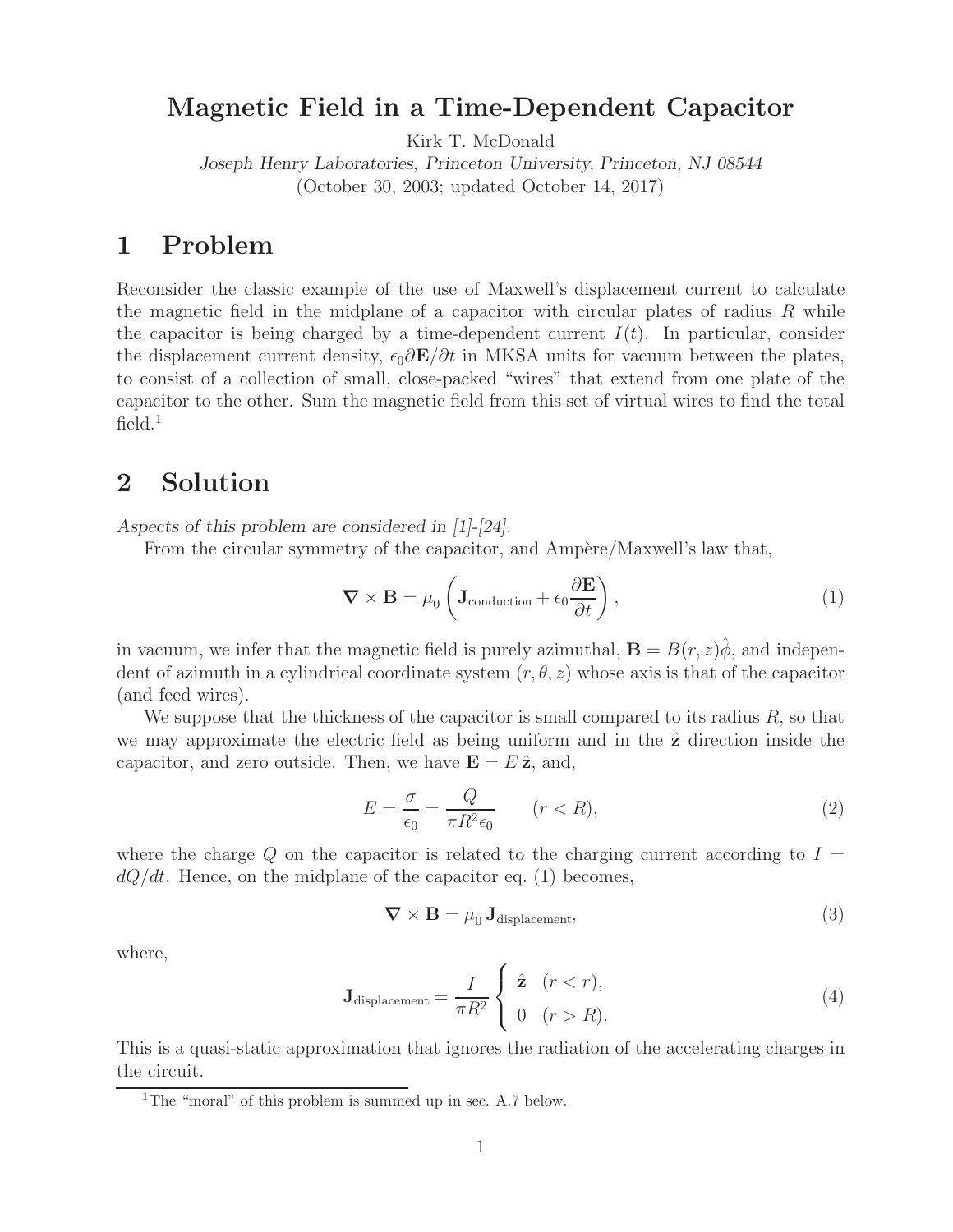## **Magnetic Field in a Time-Dependent Capacitor**

Kirk T. McDonald

*Joseph Henry Laboratories, Princeton University, Princeton, NJ 08544* (October 30, 2003; updated October 14, 2017)

## **1 Problem**

Reconsider the classic example of the use of Maxwell's displacement current to calculate the magnetic field in the midplane of a capacitor with circular plates of radius  $R$  while the capacitor is being charged by a time-dependent current  $I(t)$ . In particular, consider the displacement current density,  $\epsilon_0 \partial \mathbf{E}/\partial t$  in MKSA units for vacuum between the plates, to consist of a collection of small, close-packed "wires" that extend from one plate of the capacitor to the other. Sum the magnetic field from this set of virtual wires to find the total  $field.<sup>1</sup>$ 

## **2 Solution**

*Aspects of this problem are considered in [1]-[24].*

From the circular symmetry of the capacitor, and Ampère/Maxwell's law that,

$$
\nabla \times \mathbf{B} = \mu_0 \left( \mathbf{J}_{\text{conduction}} + \epsilon_0 \frac{\partial \mathbf{E}}{\partial t} \right),\tag{1}
$$

in vacuum, we infer that the magnetic field is purely azimuthal,  $\mathbf{B} = B(r, z)\phi$ , and independent of azimuth in a cylindrical coordinate system  $(r, \theta, z)$  whose axis is that of the capacitor (and feed wires).

We suppose that the thickness of the capacitor is small compared to its radius  $R$ , so that we may approximate the electric field as being uniform and in the  $\hat{z}$  direction inside the capacitor, and zero outside. Then, we have  $\mathbf{E} = E \hat{\mathbf{z}}$ , and,

$$
E = \frac{\sigma}{\epsilon_0} = \frac{Q}{\pi R^2 \epsilon_0} \qquad (r < R),\tag{2}
$$

where the charge  $Q$  on the capacitor is related to the charging current according to  $I =$  $dQ/dt$ . Hence, on the midplane of the capacitor eq. (1) becomes,

$$
\nabla \times \mathbf{B} = \mu_0 \mathbf{J}_{\text{displacement}},\tag{3}
$$

where,

$$
\mathbf{J}_{\text{displacement}} = \frac{I}{\pi R^2} \begin{cases} \hat{\mathbf{z}} & (r < r), \\ 0 & (r > R). \end{cases}
$$
 (4)

This is a quasi-static approximation that ignores the radiation of the accelerating charges in the circuit.

<sup>&</sup>lt;sup>1</sup>The "moral" of this problem is summed up in sec. A.7 below.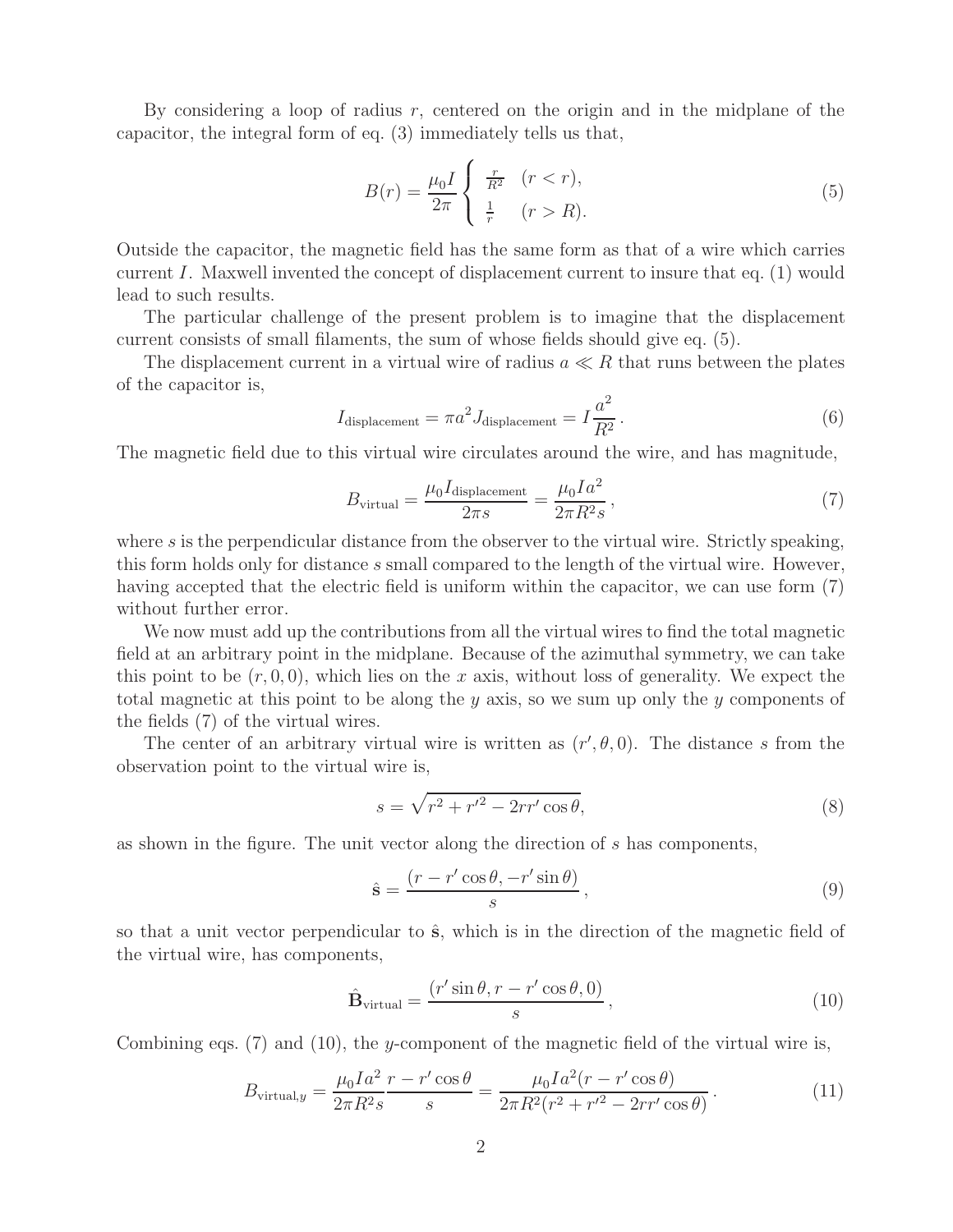By considering a loop of radius  $r$ , centered on the origin and in the midplane of the capacitor, the integral form of eq. (3) immediately tells us that,

$$
B(r) = \frac{\mu_0 I}{2\pi} \begin{cases} \frac{r}{R^2} & (r < r), \\ \frac{1}{r} & (r > R). \end{cases}
$$
 (5)

Outside the capacitor, the magnetic field has the same form as that of a wire which carries current I. Maxwell invented the concept of displacement current to insure that eq. (1) would lead to such results.

The particular challenge of the present problem is to imagine that the displacement current consists of small filaments, the sum of whose fields should give eq. (5).

The displacement current in a virtual wire of radius  $a \ll R$  that runs between the plates of the capacitor is,

$$
I_{\text{displacement}} = \pi a^2 J_{\text{displacement}} = I \frac{a^2}{R^2}.
$$
\n(6)

The magnetic field due to this virtual wire circulates around the wire, and has magnitude,

$$
B_{\text{virtual}} = \frac{\mu_0 I_{\text{displacement}}}{2\pi s} = \frac{\mu_0 I a^2}{2\pi R^2 s},\tag{7}
$$

where s is the perpendicular distance from the observer to the virtual wire. Strictly speaking, this form holds only for distance s small compared to the length of the virtual wire. However, having accepted that the electric field is uniform within the capacitor, we can use form (7) without further error.

We now must add up the contributions from all the virtual wires to find the total magnetic field at an arbitrary point in the midplane. Because of the azimuthal symmetry, we can take this point to be  $(r, 0, 0)$ , which lies on the x axis, without loss of generality. We expect the total magnetic at this point to be along the y axis, so we sum up only the y components of the fields (7) of the virtual wires.

The center of an arbitrary virtual wire is written as  $(r', \theta, 0)$ . The distance s from the observation point to the virtual wire is,

$$
s = \sqrt{r^2 + r'^2 - 2rr'\cos\theta},\tag{8}
$$

as shown in the figure. The unit vector along the direction of s has components,

$$
\hat{\mathbf{s}} = \frac{(r - r'\cos\theta, -r'\sin\theta)}{s},\tag{9}
$$

so that a unit vector perpendicular to  $\hat{\mathbf{s}}$ , which is in the direction of the magnetic field of the virtual wire, has components,

$$
\hat{\mathbf{B}}_{\text{virtual}} = \frac{(r' \sin \theta, r - r' \cos \theta, 0)}{s},\tag{10}
$$

Combining eqs. (7) and (10), the y-component of the magnetic field of the virtual wire is,

$$
B_{\text{virtual},y} = \frac{\mu_0 I a^2}{2\pi R^2 s} \frac{r - r'\cos\theta}{s} = \frac{\mu_0 I a^2 (r - r'\cos\theta)}{2\pi R^2 (r^2 + r'^2 - 2rr'\cos\theta)}.
$$
(11)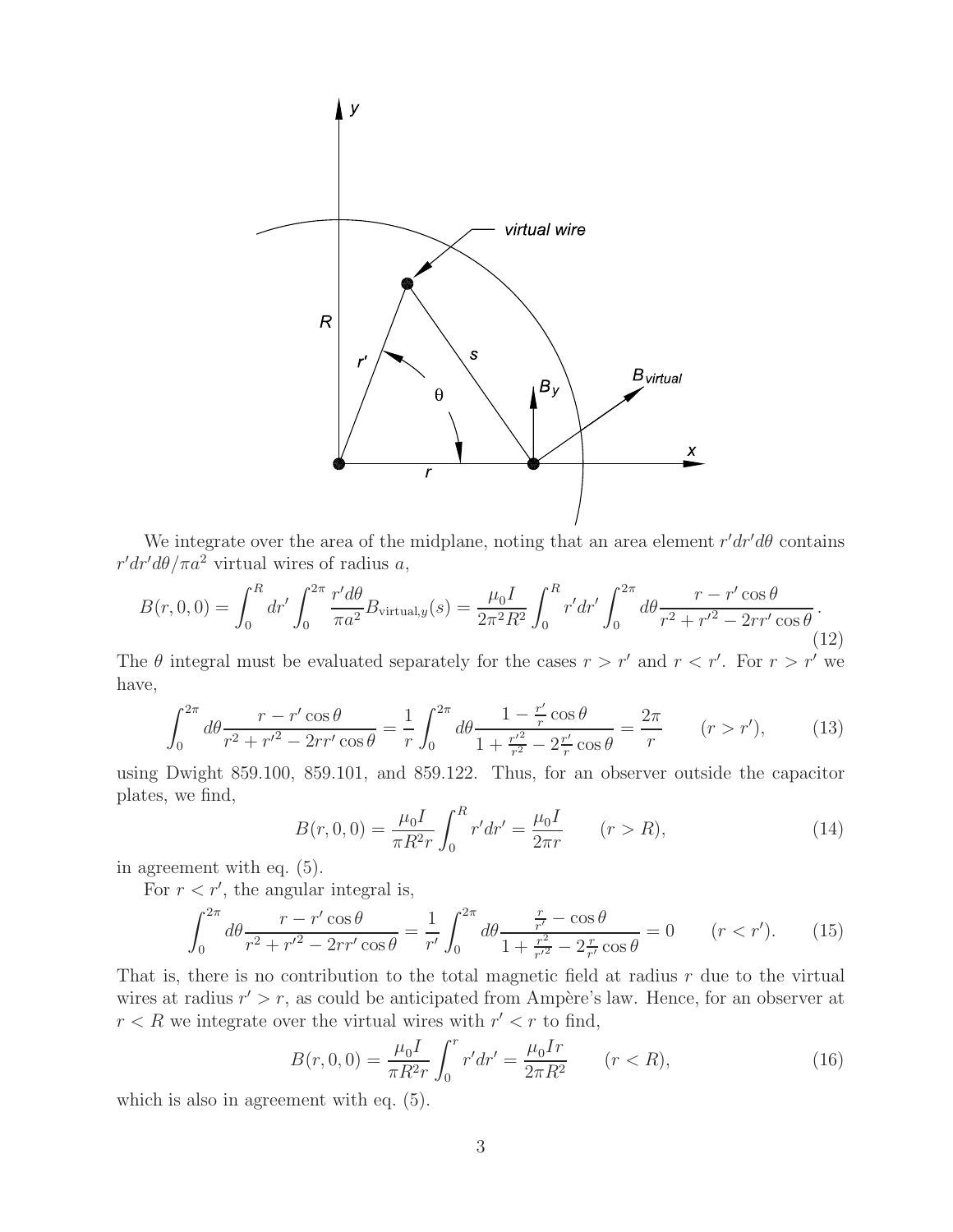

We integrate over the area of the midplane, noting that an area element  $r'dr'd\theta$  contains  $r'dr'd\theta/\pi a^2$  virtual wires of radius a,

$$
B(r,0,0) = \int_0^R dr' \int_0^{2\pi} \frac{r'd\theta}{\pi a^2} B_{\text{virtual},y}(s) = \frac{\mu_0 I}{2\pi^2 R^2} \int_0^R r'dr' \int_0^{2\pi} d\theta \frac{r - r'\cos\theta}{r^2 + r'^2 - 2rr'\cos\theta}.
$$
\n(12)

The  $\theta$  integral must be evaluated separately for the cases  $r > r'$  and  $r < r'$ . For  $r > r'$  we have,

$$
\int_0^{2\pi} d\theta \frac{r - r'\cos\theta}{r^2 + r'^2 - 2rr'\cos\theta} = \frac{1}{r} \int_0^{2\pi} d\theta \frac{1 - \frac{r'}{r}\cos\theta}{1 + \frac{r'^2}{r^2} - 2\frac{r'}{r}\cos\theta} = \frac{2\pi}{r} \qquad (r > r'),\tag{13}
$$

using Dwight 859.100, 859.101, and 859.122. Thus, for an observer outside the capacitor plates, we find,

$$
B(r,0,0) = \frac{\mu_0 I}{\pi R^2 r} \int_0^R r' dr' = \frac{\mu_0 I}{2\pi r} \qquad (r > R),
$$
\n(14)

in agreement with eq. (5).

For  $r < r'$ , the angular integral is,

$$
\int_0^{2\pi} d\theta \frac{r - r'\cos\theta}{r^2 + r'^2 - 2rr'\cos\theta} = \frac{1}{r'} \int_0^{2\pi} d\theta \frac{\frac{r}{r'} - \cos\theta}{1 + \frac{r^2}{r'^2} - 2\frac{r}{r'}\cos\theta} = 0 \qquad (r < r'). \tag{15}
$$

That is, there is no contribution to the total magnetic field at radius  $r$  due to the virtual wires at radius  $r' > r$ , as could be anticipated from Ampère's law. Hence, for an observer at  $r < R$  we integrate over the virtual wires with  $r' < r$  to find,

$$
B(r,0,0) = \frac{\mu_0 I}{\pi R^2 r} \int_0^r r' dr' = \frac{\mu_0 I r}{2\pi R^2} \qquad (r < R),\tag{16}
$$

which is also in agreement with eq. (5).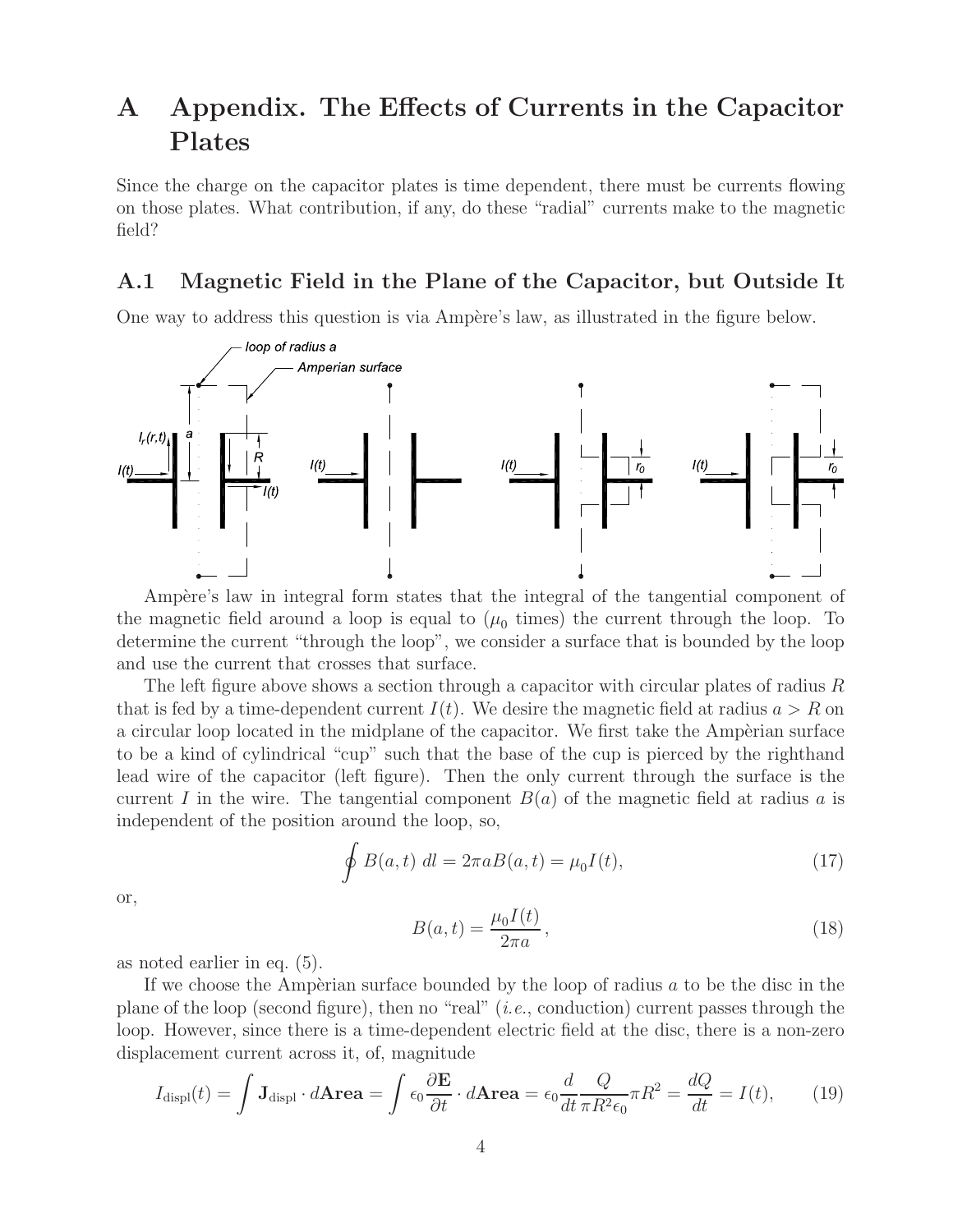# **A Appendix. The Effects of Currents in the Capacitor Plates**

Since the charge on the capacitor plates is time dependent, there must be currents flowing on those plates. What contribution, if any, do these "radial" currents make to the magnetic field?

#### **A.1 Magnetic Field in the Plane of the Capacitor, but Outside It**

One way to address this question is via Ampère's law, as illustrated in the figure below.



Ampère's law in integral form states that the integral of the tangential component of the magnetic field around a loop is equal to  $(\mu_0$  times) the current through the loop. To determine the current "through the loop", we consider a surface that is bounded by the loop and use the current that crosses that surface.

The left figure above shows a section through a capacitor with circular plates of radius  $R$ that is fed by a time-dependent current  $I(t)$ . We desire the magnetic field at radius  $a > R$  on a circular loop located in the midplane of the capacitor. We first take the Amperian surface to be a kind of cylindrical "cup" such that the base of the cup is pierced by the righthand lead wire of the capacitor (left figure). Then the only current through the surface is the current I in the wire. The tangential component  $B(a)$  of the magnetic field at radius a is independent of the position around the loop, so,

$$
\oint B(a,t) dl = 2\pi a B(a,t) = \mu_0 I(t),\tag{17}
$$

or,

$$
B(a,t) = \frac{\mu_0 I(t)}{2\pi a},\qquad(18)
$$

as noted earlier in eq. (5).

If we choose the Ampèrian surface bounded by the loop of radius  $a$  to be the disc in the plane of the loop (second figure), then no "real" (*i.e.*, conduction) current passes through the loop. However, since there is a time-dependent electric field at the disc, there is a non-zero displacement current across it, of, magnitude

$$
I_{\text{displ}}(t) = \int \mathbf{J}_{\text{displ}} \cdot d\mathbf{A} \mathbf{r} \mathbf{e} \mathbf{a} = \int \epsilon_0 \frac{\partial \mathbf{E}}{\partial t} \cdot d\mathbf{A} \mathbf{r} \mathbf{e} \mathbf{a} = \epsilon_0 \frac{d}{dt} \frac{Q}{\pi R^2 \epsilon_0} \pi R^2 = \frac{dQ}{dt} = I(t), \quad (19)
$$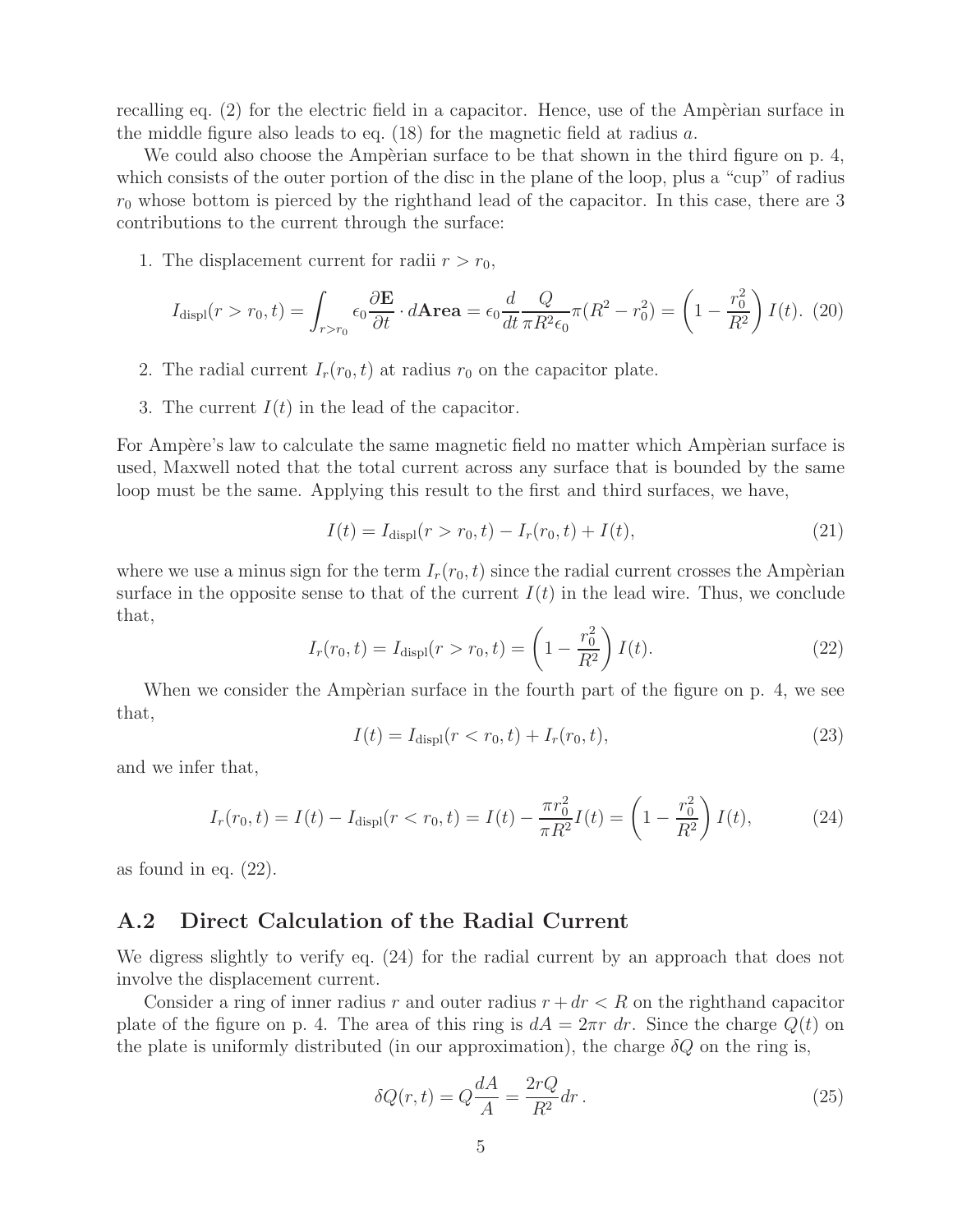recalling eq.  $(2)$  for the electric field in a capacitor. Hence, use of the Ampèrian surface in the middle figure also leads to eq. (18) for the magnetic field at radius a.

We could also choose the Ampèrian surface to be that shown in the third figure on p.  $4$ , which consists of the outer portion of the disc in the plane of the loop, plus a "cup" of radius  $r_0$  whose bottom is pierced by the righthand lead of the capacitor. In this case, there are 3 contributions to the current through the surface:

1. The displacement current for radii  $r>r_0$ ,

$$
I_{\text{displ}}(r > r_0, t) = \int_{r > r_0} \epsilon_0 \frac{\partial \mathbf{E}}{\partial t} \cdot d\mathbf{Area} = \epsilon_0 \frac{d}{dt} \frac{Q}{\pi R^2 \epsilon_0} \pi (R^2 - r_0^2) = \left(1 - \frac{r_0^2}{R^2}\right) I(t). \tag{20}
$$

- 2. The radial current  $I_r(r_0, t)$  at radius  $r_0$  on the capacitor plate.
- 3. The current  $I(t)$  in the lead of the capacitor.

For Ampère's law to calculate the same magnetic field no matter which Ampèrian surface is used, Maxwell noted that the total current across any surface that is bounded by the same loop must be the same. Applying this result to the first and third surfaces, we have,

$$
I(t) = I_{\text{displ}}(r > r_0, t) - I_r(r_0, t) + I(t),
$$
\n(21)

where we use a minus sign for the term  $I_r(r_0, t)$  since the radial current crosses the Ampèrian surface in the opposite sense to that of the current  $I(t)$  in the lead wire. Thus, we conclude that,

$$
I_r(r_0, t) = I_{\text{displ}}(r > r_0, t) = \left(1 - \frac{r_0^2}{R^2}\right)I(t).
$$
 (22)

When we consider the Ampèrian surface in the fourth part of the figure on p. 4, we see that,

$$
I(t) = I_{\text{displ}}(r < r_0, t) + I_r(r_0, t),
$$
\n(23)

and we infer that,

$$
I_r(r_0, t) = I(t) - I_{\text{displ}}(r < r_0, t) = I(t) - \frac{\pi r_0^2}{\pi R^2} I(t) = \left(1 - \frac{r_0^2}{R^2}\right) I(t),\tag{24}
$$

as found in eq. (22).

#### **A.2 Direct Calculation of the Radial Current**

We digress slightly to verify eq. (24) for the radial current by an approach that does not involve the displacement current.

Consider a ring of inner radius r and outer radius  $r + dr < R$  on the righthand capacitor plate of the figure on p. 4. The area of this ring is  $dA = 2\pi r dr$ . Since the charge  $Q(t)$  on the plate is uniformly distributed (in our approximation), the charge  $\delta Q$  on the ring is,

$$
\delta Q(r,t) = Q\frac{dA}{A} = \frac{2rQ}{R^2}dr\,. \tag{25}
$$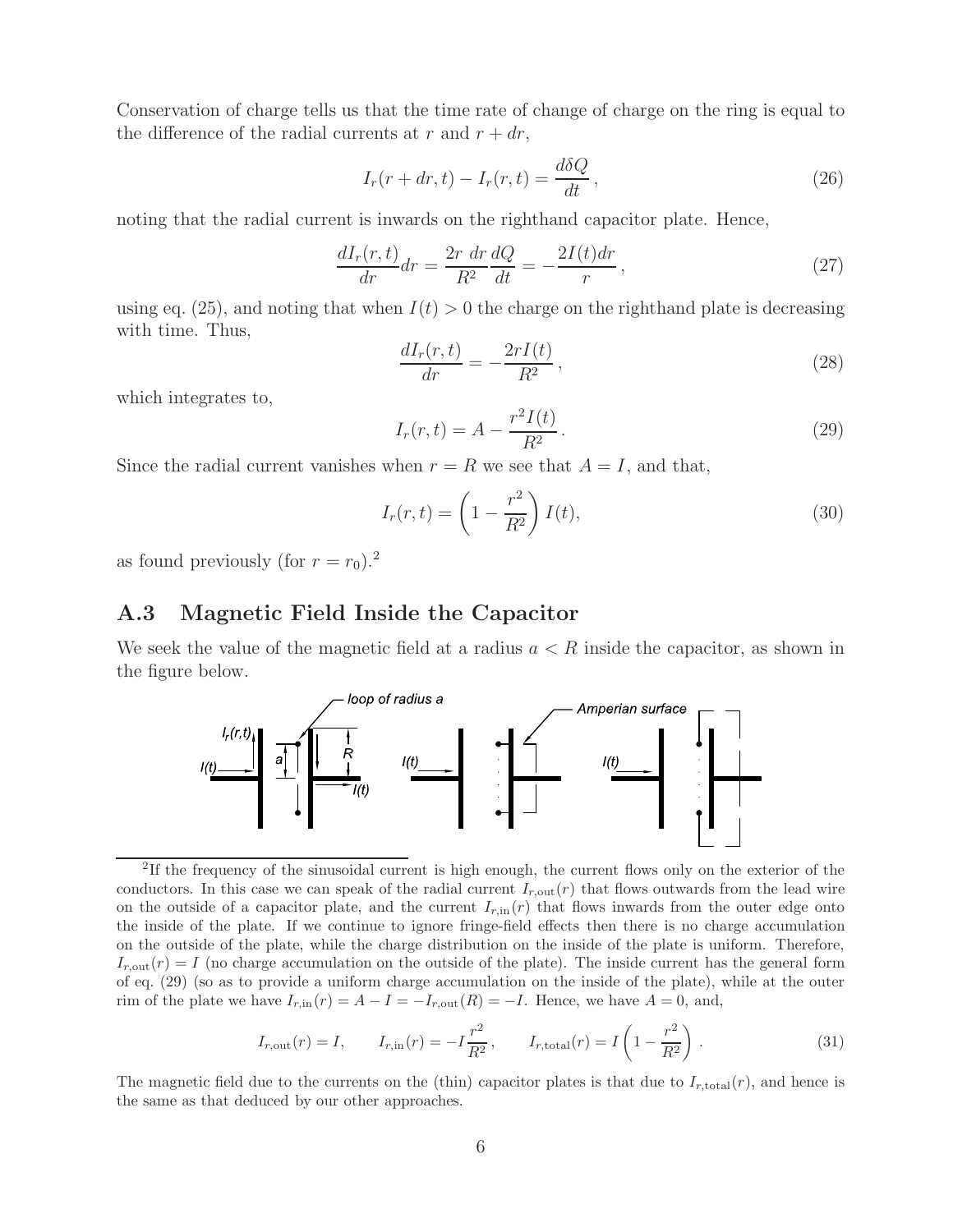Conservation of charge tells us that the time rate of change of charge on the ring is equal to the difference of the radial currents at r and  $r + dr$ ,

$$
I_r(r+dr,t) - I_r(r,t) = \frac{d\delta Q}{dt},
$$
\n(26)

noting that the radial current is inwards on the righthand capacitor plate. Hence,

$$
\frac{dI_r(r,t)}{dr}dr = \frac{2r \ dr}{R^2} \frac{dQ}{dt} = -\frac{2I(t)dr}{r},\qquad(27)
$$

using eq. (25), and noting that when  $I(t) > 0$  the charge on the righthand plate is decreasing with time. Thus,

$$
\frac{dI_r(r,t)}{dr} = -\frac{2rI(t)}{R^2},\qquad(28)
$$

which integrates to,

$$
I_r(r,t) = A - \frac{r^2 I(t)}{R^2}.
$$
\n(29)

Since the radial current vanishes when  $r = R$  we see that  $A = I$ , and that,

$$
I_r(r,t) = \left(1 - \frac{r^2}{R^2}\right)I(t),\tag{30}
$$

as found previously (for  $r = r_0$ ).<sup>2</sup>

#### **A.3 Magnetic Field Inside the Capacitor**

We seek the value of the magnetic field at a radius  $a < R$  inside the capacitor, as shown in the figure below.



<sup>2</sup>If the frequency of the sinusoidal current is high enough, the current flows only on the exterior of the conductors. In this case we can speak of the radial current  $I_{r,\text{out}}(r)$  that flows outwards from the lead wire on the outside of a capacitor plate, and the current  $I_{r,in}(r)$  that flows inwards from the outer edge onto the inside of the plate. If we continue to ignore fringe-field effects then there is no charge accumulation on the outside of the plate, while the charge distribution on the inside of the plate is uniform. Therefore,  $I_{r,\text{out}}(r) = I$  (no charge accumulation on the outside of the plate). The inside current has the general form of eq. (29) (so as to provide a uniform charge accumulation on the inside of the plate), while at the outer rim of the plate we have  $I_{r,\text{in}}(r) = A - I = -I_{r,\text{out}}(R) = -I$ . Hence, we have  $A = 0$ , and,

$$
I_{r, \text{out}}(r) = I,
$$
  $I_{r, \text{in}}(r) = -I\frac{r^2}{R^2},$   $I_{r, \text{total}}(r) = I\left(1 - \frac{r^2}{R^2}\right).$  (31)

The magnetic field due to the currents on the (thin) capacitor plates is that due to  $I_{r,\text{total}}(r)$ , and hence is the same as that deduced by our other approaches.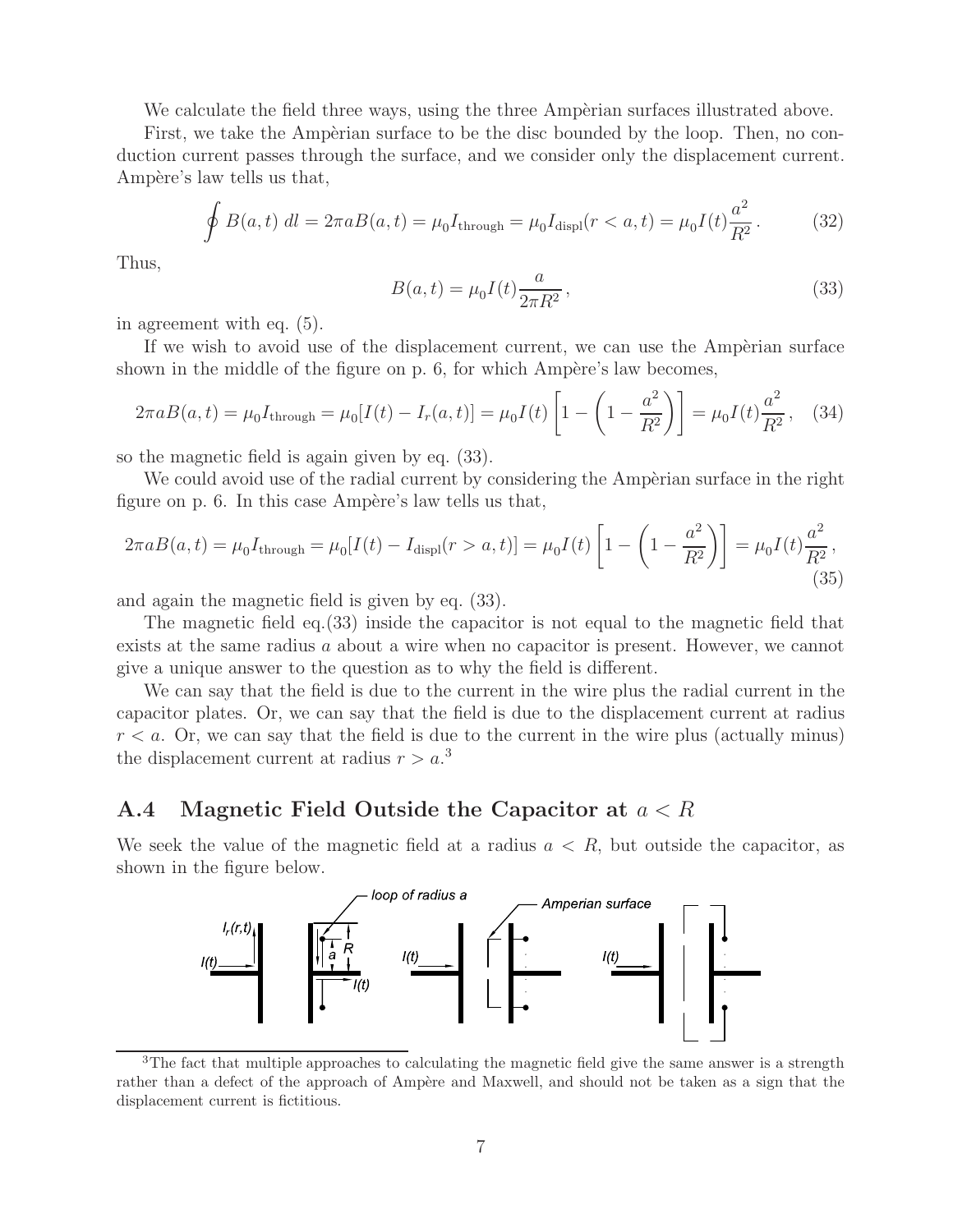We calculate the field three ways, using the three Amperian surfaces illustrated above.

First, we take the Ampèrian surface to be the disc bounded by the loop. Then, no conduction current passes through the surface, and we consider only the displacement current. Ampère's law tells us that,

$$
\oint B(a,t) \, dl = 2\pi a B(a,t) = \mu_0 I_{\text{through}} = \mu_0 I_{\text{displ}}(r < a, t) = \mu_0 I(t) \frac{a^2}{R^2}.\tag{32}
$$

Thus,

$$
B(a,t) = \mu_0 I(t) \frac{a}{2\pi R^2},
$$
\n(33)

in agreement with eq. (5).

If we wish to avoid use of the displacement current, we can use the Ampèrian surface shown in the middle of the figure on p.  $6$ , for which Ampère's law becomes,

$$
2\pi a B(a,t) = \mu_0 I_{\text{through}} = \mu_0 [I(t) - I_r(a,t)] = \mu_0 I(t) \left[ 1 - \left( 1 - \frac{a^2}{R^2} \right) \right] = \mu_0 I(t) \frac{a^2}{R^2}, \quad (34)
$$

so the magnetic field is again given by eq. (33).

We could avoid use of the radial current by considering the Amperian surface in the right figure on p. 6. In this case Ampère's law tells us that,

$$
2\pi aB(a,t) = \mu_0 I_{\text{through}} = \mu_0 [I(t) - I_{\text{display}}(r > a, t)] = \mu_0 I(t) \left[ 1 - \left( 1 - \frac{a^2}{R^2} \right) \right] = \mu_0 I(t) \frac{a^2}{R^2},\tag{35}
$$

and again the magnetic field is given by eq. (33).

The magnetic field eq.(33) inside the capacitor is not equal to the magnetic field that exists at the same radius a about a wire when no capacitor is present. However, we cannot give a unique answer to the question as to why the field is different.

We can say that the field is due to the current in the wire plus the radial current in the capacitor plates. Or, we can say that the field is due to the displacement current at radius  $r < a$ . Or, we can say that the field is due to the current in the wire plus (actually minus) the displacement current at radius  $r > a$ <sup>3</sup>

#### **A.4 Magnetic Field Outside the Capacitor at** a<R

We seek the value of the magnetic field at a radius  $a < R$ , but outside the capacitor, as shown in the figure below.



<sup>&</sup>lt;sup>3</sup>The fact that multiple approaches to calculating the magnetic field give the same answer is a strength rather than a defect of the approach of Ampère and Maxwell, and should not be taken as a sign that the displacement current is fictitious.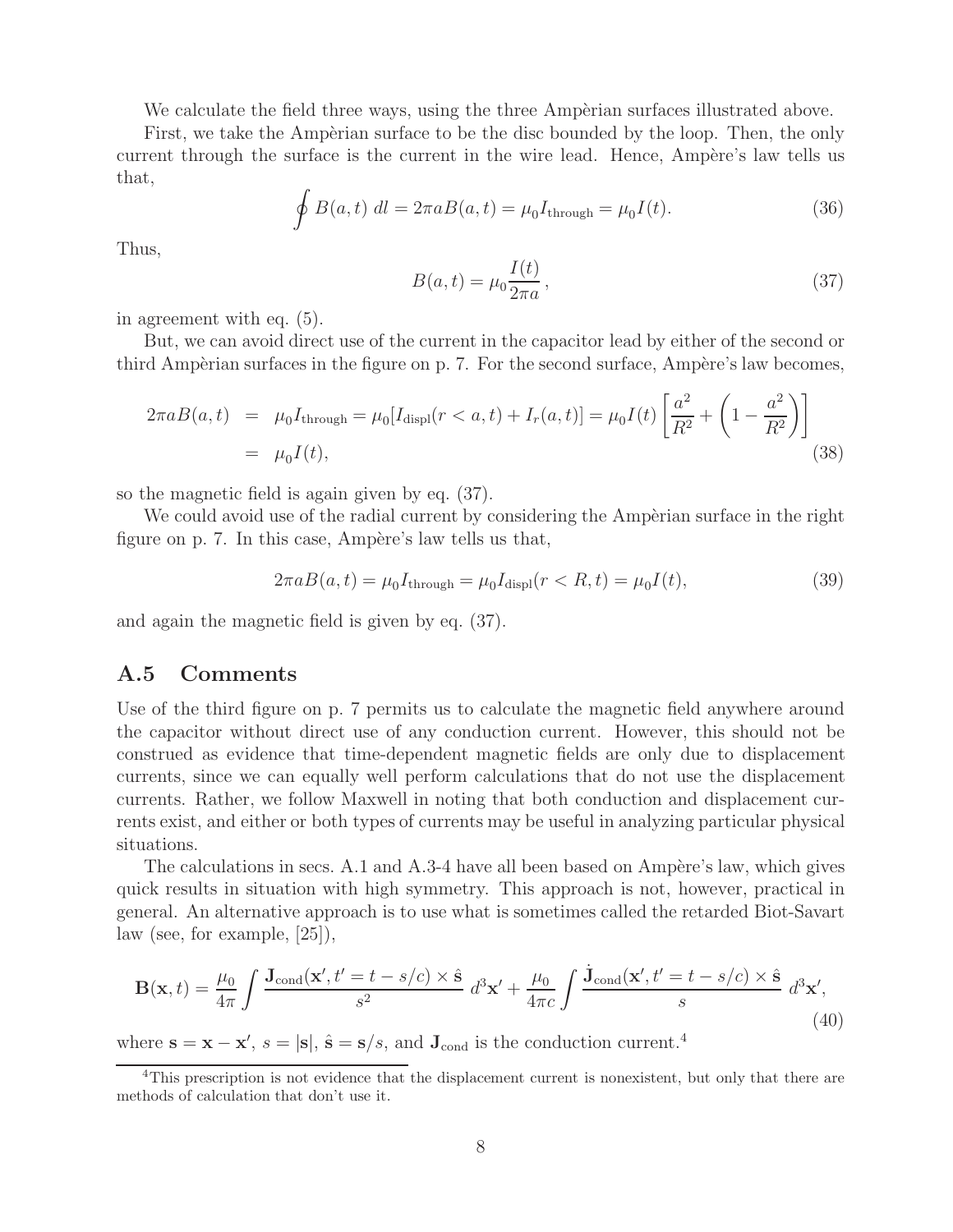We calculate the field three ways, using the three Amperian surfaces illustrated above.

First, we take the Ampèrian surface to be the disc bounded by the loop. Then, the only current through the surface is the current in the wire lead. Hence, Ampère's law tells us that,

$$
\oint B(a,t) dl = 2\pi a B(a,t) = \mu_0 I_{\text{through}} = \mu_0 I(t).
$$
\n(36)

Thus,

$$
B(a,t) = \mu_0 \frac{I(t)}{2\pi a},\qquad(37)
$$

in agreement with eq. (5).

But, we can avoid direct use of the current in the capacitor lead by either of the second or third Ampèrian surfaces in the figure on p. 7. For the second surface, Ampère's law becomes,

$$
2\pi a B(a,t) = \mu_0 I_{\text{through}} = \mu_0 [I_{\text{display}}(r < a, t) + I_r(a, t)] = \mu_0 I(t) \left[ \frac{a^2}{R^2} + \left( 1 - \frac{a^2}{R^2} \right) \right]
$$
  
=  $\mu_0 I(t)$ , (38)

so the magnetic field is again given by eq. (37).

We could avoid use of the radial current by considering the Amperian surface in the right figure on p. 7. In this case, Ampère's law tells us that,

$$
2\pi a B(a,t) = \mu_0 I_{\text{through}} = \mu_0 I_{\text{displ}}(r < R, t) = \mu_0 I(t), \tag{39}
$$

and again the magnetic field is given by eq. (37).

#### **A.5 Comments**

Use of the third figure on p. 7 permits us to calculate the magnetic field anywhere around the capacitor without direct use of any conduction current. However, this should not be construed as evidence that time-dependent magnetic fields are only due to displacement currents, since we can equally well perform calculations that do not use the displacement currents. Rather, we follow Maxwell in noting that both conduction and displacement currents exist, and either or both types of currents may be useful in analyzing particular physical situations.

The calculations in secs. A.1 and A.3-4 have all been based on Ampère's law, which gives quick results in situation with high symmetry. This approach is not, however, practical in general. An alternative approach is to use what is sometimes called the retarded Biot-Savart law (see, for example, [25]),

$$
\mathbf{B}(\mathbf{x},t) = \frac{\mu_0}{4\pi} \int \frac{\mathbf{J}_{\text{cond}}(\mathbf{x}',t'=t-s/c) \times \hat{\mathbf{s}}}{s^2} d^3 \mathbf{x}' + \frac{\mu_0}{4\pi c} \int \frac{\dot{\mathbf{J}}_{\text{cond}}(\mathbf{x}',t'=t-s/c) \times \hat{\mathbf{s}}}{s} d^3 \mathbf{x}',\tag{40}
$$

where  $\mathbf{s} = \mathbf{x} - \mathbf{x}'$ ,  $s = |\mathbf{s}|$ ,  $\hat{\mathbf{s}} = \mathbf{s}/s$ , and  $\mathbf{J}_{\text{cond}}$  is the conduction current.<sup>4</sup>

<sup>&</sup>lt;sup>4</sup>This prescription is not evidence that the displacement current is nonexistent, but only that there are methods of calculation that don't use it.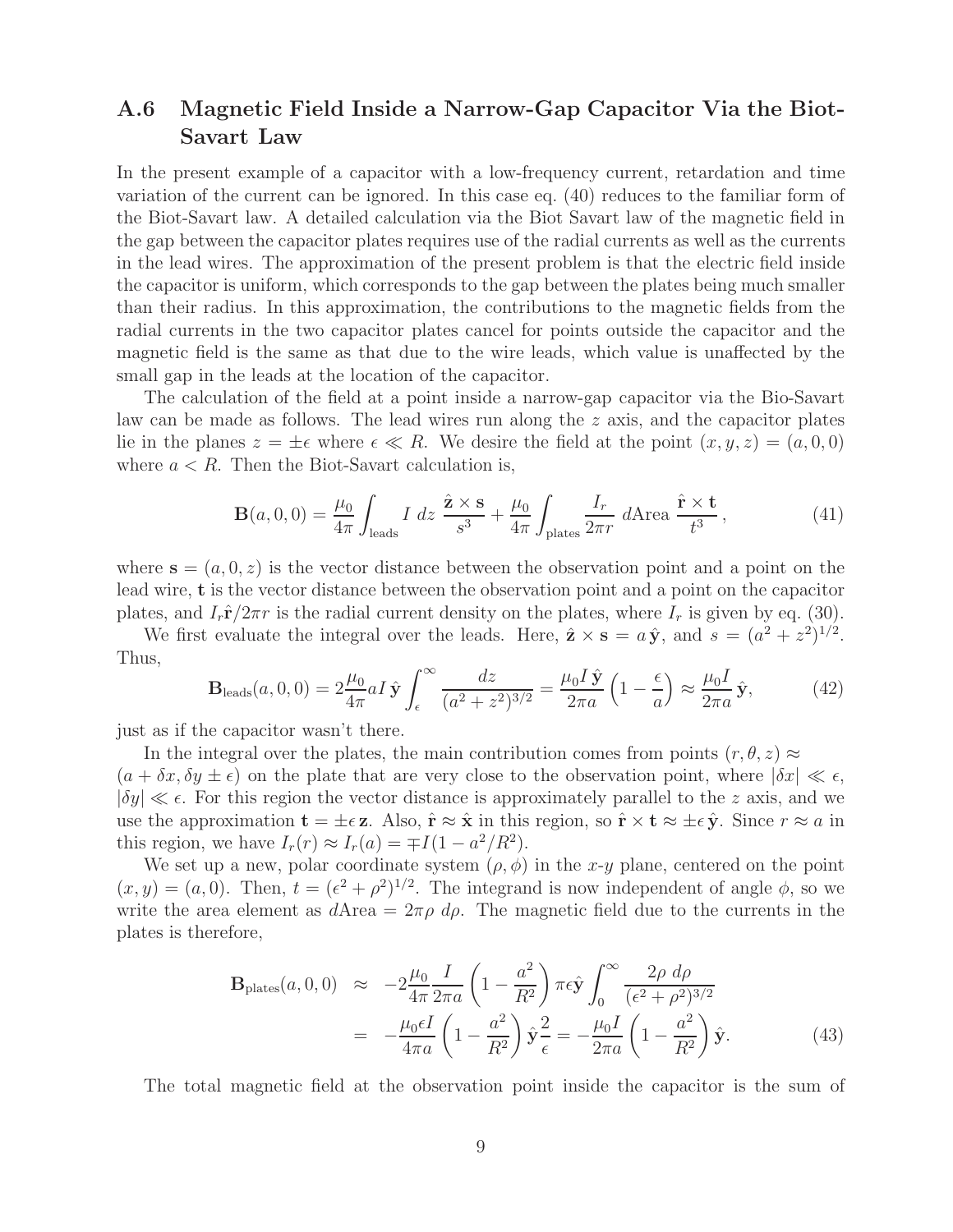### **A.6 Magnetic Field Inside a Narrow-Gap Capacitor Via the Biot-Savart Law**

In the present example of a capacitor with a low-frequency current, retardation and time variation of the current can be ignored. In this case eq. (40) reduces to the familiar form of the Biot-Savart law. A detailed calculation via the Biot Savart law of the magnetic field in the gap between the capacitor plates requires use of the radial currents as well as the currents in the lead wires. The approximation of the present problem is that the electric field inside the capacitor is uniform, which corresponds to the gap between the plates being much smaller than their radius. In this approximation, the contributions to the magnetic fields from the radial currents in the two capacitor plates cancel for points outside the capacitor and the magnetic field is the same as that due to the wire leads, which value is unaffected by the small gap in the leads at the location of the capacitor.

The calculation of the field at a point inside a narrow-gap capacitor via the Bio-Savart law can be made as follows. The lead wires run along the z axis, and the capacitor plates lie in the planes  $z = \pm \epsilon$  where  $\epsilon \ll R$ . We desire the field at the point  $(x, y, z) = (a, 0, 0)$ where  $a < R$ . Then the Biot-Savart calculation is,

$$
\mathbf{B}(a,0,0) = \frac{\mu_0}{4\pi} \int_{\text{leads}} I \, dz \, \frac{\hat{\mathbf{z}} \times \mathbf{s}}{s^3} + \frac{\mu_0}{4\pi} \int_{\text{plates}} \frac{I_r}{2\pi r} \, d\text{Area} \, \frac{\hat{\mathbf{r}} \times \mathbf{t}}{t^3},\tag{41}
$$

where  $\mathbf{s} = (a, 0, z)$  is the vector distance between the observation point and a point on the lead wire, **t** is the vector distance between the observation point and a point on the capacitor plates, and  $I_r \hat{\mathbf{r}}/2\pi r$  is the radial current density on the plates, where  $I_r$  is given by eq. (30).

We first evaluate the integral over the leads. Here,  $\hat{\mathbf{z}} \times \mathbf{s} = a\hat{\mathbf{y}}$ , and  $s = (a^2 + z^2)^{1/2}$ . Thus,

$$
\mathbf{B}_{\text{leads}}(a,0,0) = 2\frac{\mu_0}{4\pi}aI\,\hat{\mathbf{y}}\int_{\epsilon}^{\infty}\frac{dz}{(a^2+z^2)^{3/2}} = \frac{\mu_0I\,\hat{\mathbf{y}}}{2\pi a}\left(1-\frac{\epsilon}{a}\right) \approx \frac{\mu_0I}{2\pi a}\,\hat{\mathbf{y}},\tag{42}
$$

just as if the capacitor wasn't there.

In the integral over the plates, the main contribution comes from points  $(r, \theta, z) \approx$  $(a + \delta x, \delta y \pm \epsilon)$  on the plate that are very close to the observation point, where  $|\delta x| \ll \epsilon$ ,  $|\delta y| \ll \epsilon$ . For this region the vector distance is approximately parallel to the z axis, and we use the approximation  $\mathbf{t} = \pm \epsilon \mathbf{z}$ . Also,  $\hat{\mathbf{r}} \approx \hat{\mathbf{x}}$  in this region, so  $\hat{\mathbf{r}} \times \mathbf{t} \approx \pm \epsilon \hat{\mathbf{y}}$ . Since  $r \approx a$  in this region, we have  $I_r(r) \approx I_r(a) = \mp I(1 - a^2/R^2)$ .

We set up a new, polar coordinate system  $(\rho, \phi)$  in the x-y plane, centered on the point  $(x, y) = (a, 0)$ . Then,  $t = (\epsilon^2 + \rho^2)^{1/2}$ . The integrand is now independent of angle  $\phi$ , so we write the area element as  $dA$ rea =  $2\pi \rho$   $d\rho$ . The magnetic field due to the currents in the plates is therefore,

$$
\mathbf{B}_{\text{plates}}(a, 0, 0) \approx -2\frac{\mu_0}{4\pi} \frac{I}{2\pi a} \left(1 - \frac{a^2}{R^2}\right) \pi \epsilon \hat{\mathbf{y}} \int_0^\infty \frac{2\rho \ d\rho}{(\epsilon^2 + \rho^2)^{3/2}}
$$

$$
= -\frac{\mu_0 \epsilon I}{4\pi a} \left(1 - \frac{a^2}{R^2}\right) \hat{\mathbf{y}} \frac{2}{\epsilon} = -\frac{\mu_0 I}{2\pi a} \left(1 - \frac{a^2}{R^2}\right) \hat{\mathbf{y}}. \tag{43}
$$

The total magnetic field at the observation point inside the capacitor is the sum of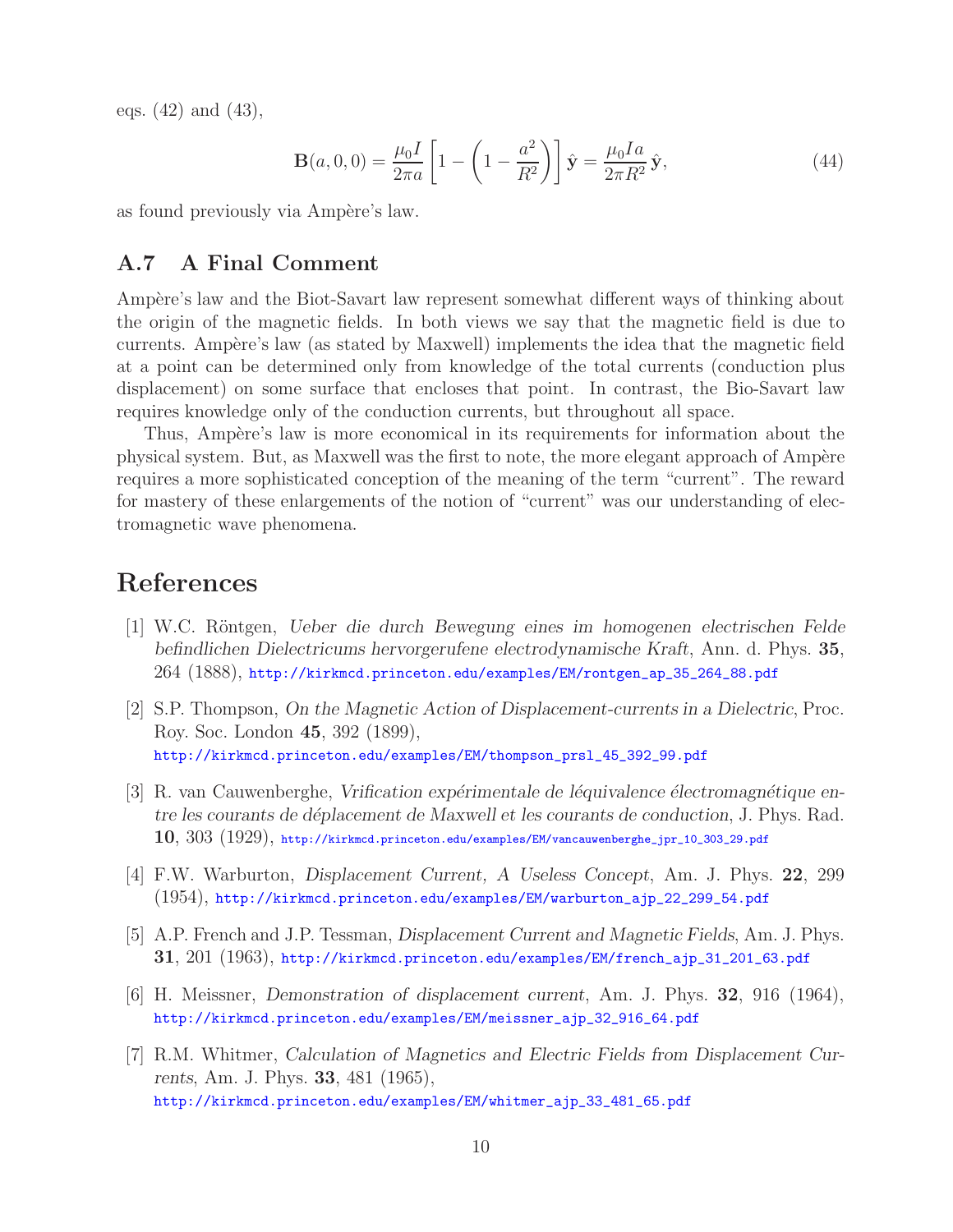eqs. (42) and (43),

$$
\mathbf{B}(a,0,0) = \frac{\mu_0 I}{2\pi a} \left[ 1 - \left( 1 - \frac{a^2}{R^2} \right) \right] \hat{\mathbf{y}} = \frac{\mu_0 I a}{2\pi R^2} \hat{\mathbf{y}},\tag{44}
$$

as found previously via Ampère's law.

#### **A.7 A Final Comment**

Ampère's law and the Biot-Savart law represent somewhat different ways of thinking about the origin of the magnetic fields. In both views we say that the magnetic field is due to currents. Ampère's law (as stated by Maxwell) implements the idea that the magnetic field at a point can be determined only from knowledge of the total currents (conduction plus displacement) on some surface that encloses that point. In contrast, the Bio-Savart law requires knowledge only of the conduction currents, but throughout all space.

Thus, Ampère's law is more economical in its requirements for information about the physical system. But, as Maxwell was the first to note, the more elegant approach of Ampère requires a more sophisticated conception of the meaning of the term "current". The reward for mastery of these enlargements of the notion of "current" was our understanding of electromagnetic wave phenomena.

## **References**

- [1] W.C. R¨ontgen, *Ueber die durch Bewegung eines im homogenen electrischen Felde befindlichen Dielectricums hervorgerufene electrodynamische Kraft*, Ann. d. Phys. **35**, 264 (1888), http://kirkmcd.princeton.edu/examples/EM/rontgen\_ap\_35\_264\_88.pdf
- [2] S.P. Thompson, *On the Magnetic Action of Displacement-currents in a Dielectric*, Proc. Roy. Soc. London **45**, 392 (1899), http://kirkmcd.princeton.edu/examples/EM/thompson\_prsl\_45\_392\_99.pdf
- [3] R. van Cauwenberghe, *Vrification expérimentale de léquivalence électromagnétique entre les courants de d´eplacement de Maxwell et les courants de conduction*, J. Phys. Rad. **10**, 303 (1929), http://kirkmcd.princeton.edu/examples/EM/vancauwenberghe\_jpr\_10\_303\_29.pdf
- [4] F.W. Warburton, *Displacement Current, A Useless Concept*, Am. J. Phys. **22**, 299 (1954), http://kirkmcd.princeton.edu/examples/EM/warburton\_ajp\_22\_299\_54.pdf
- [5] A.P. French and J.P. Tessman, *Displacement Current and Magnetic Fields*, Am. J. Phys. **31**, 201 (1963), http://kirkmcd.princeton.edu/examples/EM/french\_ajp\_31\_201\_63.pdf
- [6] H. Meissner, *Demonstration of displacement current*, Am. J. Phys. **32**, 916 (1964), http://kirkmcd.princeton.edu/examples/EM/meissner\_ajp\_32\_916\_64.pdf
- [7] R.M. Whitmer, *Calculation of Magnetics and Electric Fields from Displacement Currents*, Am. J. Phys. **33**, 481 (1965), http://kirkmcd.princeton.edu/examples/EM/whitmer\_ajp\_33\_481\_65.pdf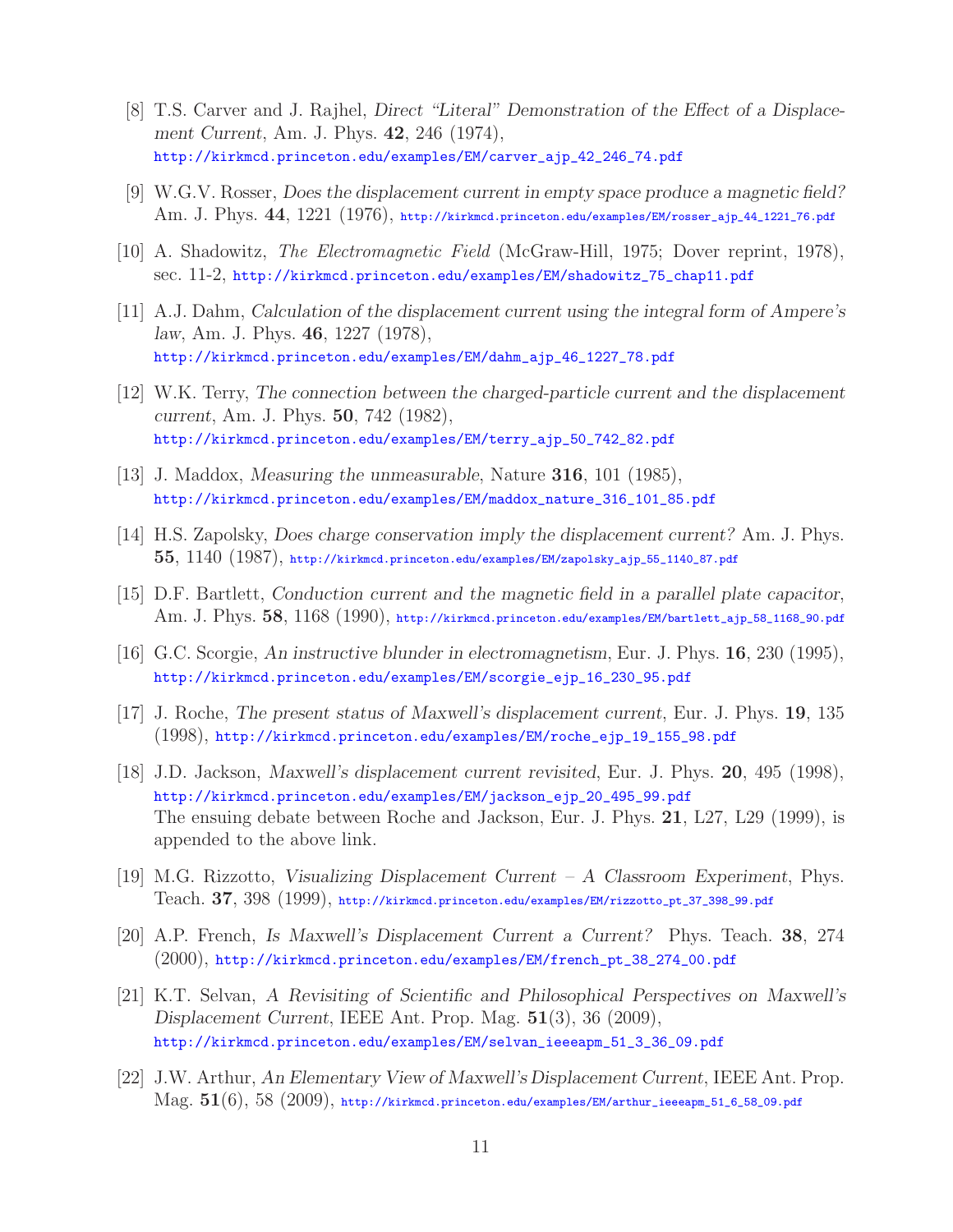- [8] T.S. Carver and J. Rajhel, *Direct "Literal" Demonstration of the Effect of a Displacement Current*, Am. J. Phys. **42**, 246 (1974), http://kirkmcd.princeton.edu/examples/EM/carver\_ajp\_42\_246\_74.pdf
- [9] W.G.V. Rosser, *Does the displacement current in empty space produce a magnetic field?* Am. J. Phys. **44**, 1221 (1976), http://kirkmcd.princeton.edu/examples/EM/rosser\_ajp\_44\_1221\_76.pdf
- [10] A. Shadowitz, *The Electromagnetic Field* (McGraw-Hill, 1975; Dover reprint, 1978), sec. 11-2, http://kirkmcd.princeton.edu/examples/EM/shadowitz\_75\_chap11.pdf
- [11] A.J. Dahm, *Calculation of the displacement current using the integral form of Ampere's law*, Am. J. Phys. **46**, 1227 (1978), http://kirkmcd.princeton.edu/examples/EM/dahm\_ajp\_46\_1227\_78.pdf
- [12] W.K. Terry, *The connection between the charged-particle current and the displacement current*, Am. J. Phys. **50**, 742 (1982), http://kirkmcd.princeton.edu/examples/EM/terry\_ajp\_50\_742\_82.pdf
- [13] J. Maddox, *Measuring the unmeasurable*, Nature **316**, 101 (1985), http://kirkmcd.princeton.edu/examples/EM/maddox\_nature\_316\_101\_85.pdf
- [14] H.S. Zapolsky, *Does charge conservation imply the displacement current?* Am. J. Phys. **55**, 1140 (1987), http://kirkmcd.princeton.edu/examples/EM/zapolsky\_ajp\_55\_1140\_87.pdf
- [15] D.F. Bartlett, *Conduction current and the magnetic field in a parallel plate capacitor*, Am. J. Phys. **58**, 1168 (1990), http://kirkmcd.princeton.edu/examples/EM/bartlett\_ajp\_58\_1168\_90.pdf
- [16] G.C. Scorgie, *An instructive blunder in electromagnetism*, Eur. J. Phys. **16**, 230 (1995), http://kirkmcd.princeton.edu/examples/EM/scorgie\_ejp\_16\_230\_95.pdf
- [17] J. Roche, *The present status of Maxwell's displacement current*, Eur. J. Phys. **19**, 135 (1998), http://kirkmcd.princeton.edu/examples/EM/roche\_ejp\_19\_155\_98.pdf
- [18] J.D. Jackson, *Maxwell's displacement current revisited*, Eur. J. Phys. **20**, 495 (1998), http://kirkmcd.princeton.edu/examples/EM/jackson\_ejp\_20\_495\_99.pdf The ensuing debate between Roche and Jackson, Eur. J. Phys. **21**, L27, L29 (1999), is appended to the above link.
- [19] M.G. Rizzotto, *Visualizing Displacement Current A Classroom Experiment*, Phys. Teach. **37**, 398 (1999), http://kirkmcd.princeton.edu/examples/EM/rizzotto\_pt\_37\_398\_99.pdf
- [20] A.P. French, *Is Maxwell's Displacement Current a Current?* Phys. Teach. **38**, 274 (2000), http://kirkmcd.princeton.edu/examples/EM/french\_pt\_38\_274\_00.pdf
- [21] K.T. Selvan, *A Revisiting of Scientific and Philosophical Perspectives on Maxwell's Displacement Current*, IEEE Ant. Prop. Mag. **51**(3), 36 (2009), http://kirkmcd.princeton.edu/examples/EM/selvan\_ieeeapm\_51\_3\_36\_09.pdf
- [22] J.W. Arthur, *An Elementary View of Maxwell's Displacement Current*, IEEE Ant. Prop. Mag. **51**(6), 58 (2009), http://kirkmcd.princeton.edu/examples/EM/arthur\_ieeeapm\_51\_6\_58\_09.pdf